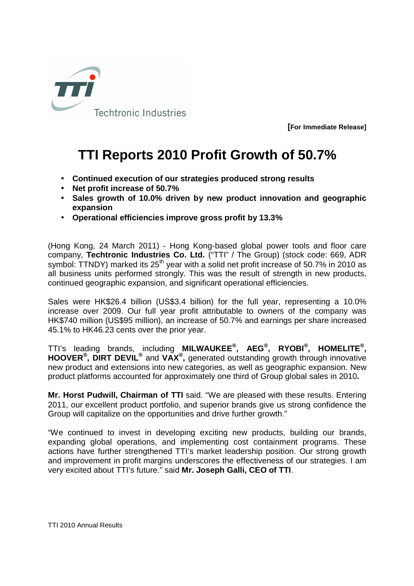

**[For Immediate Release]**

## **TTI Reports 2010 Profit Growth of 50.7%**

- **Continued execution of our strategies produced strong results**
- **Net profit increase of 50.7%**
- **Sales growth of 10.0% driven by new product innovation and geographic expansion**
- **Operational efficiencies improve gross profit by 13.3%**

(Hong Kong, 24 March 2011) - Hong Kong-based global power tools and floor care company, **Techtronic Industries Co. Ltd.** ("TTI" / The Group) (stock code: 669, ADR symbol: TTNDY) marked its  $25<sup>th</sup>$  year with a solid net profit increase of 50.7% in 2010 as all business units performed strongly. This was the result of strength in new products, continued geographic expansion, and significant operational efficiencies.

Sales were HK\$26.4 billion (US\$3.4 billion) for the full year, representing a 10.0% increase over 2009. Our full year profit attributable to owners of the company was HK\$740 million (US\$95 million), an increase of 50.7% and earnings per share increased 45.1% to HK46.23 cents over the prior year.

TTI's leading brands, including **MILWAUKEE® , AEG® , RYOBI® , HOMELITE® , HOOVER® , DIRT DEVIL®** and **VAX® ,** generated outstanding growth through innovative new product and extensions into new categories, as well as geographic expansion. New product platforms accounted for approximately one third of Group global sales in 2010**.** 

**Mr. Horst Pudwill, Chairman of TTI** said. "We are pleased with these results. Entering 2011, our excellent product portfolio, and superior brands give us strong confidence the Group will capitalize on the opportunities and drive further growth."

"We continued to invest in developing exciting new products, building our brands, expanding global operations, and implementing cost containment programs. These actions have further strengthened TTI's market leadership position. Our strong growth and improvement in profit margins underscores the effectiveness of our strategies. I am very excited about TTI's future." said **Mr. Joseph Galli, CEO of TTI**.